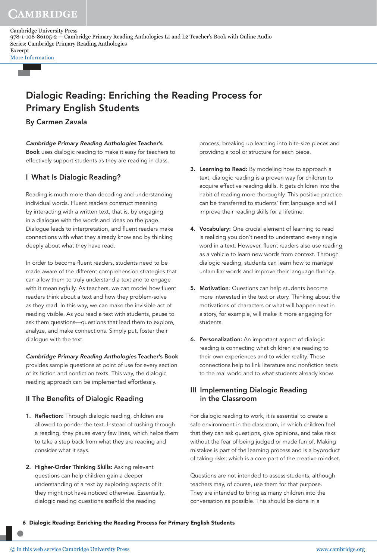CAMBRIDGE

Cambridge University Press 978-1-108-86105-2 — Cambridge Primary Reading Anthologies L1 and L2 Teacher's Book with Online Audio Series: Cambridge Primary Reading Anthologies Excerpt

[More Information](www.cambridge.org/9781108861052)

## Dialogic Reading: Enriching the Reading Process for Primary English Students

## By Carmen Zavala

Cambridge Primary Reading Anthologies Teacher's Book uses dialogic reading to make it easy for teachers to effectively support students as they are reading in class.

## I What Is Dialogic Reading?

Reading is much more than decoding and understanding individual words. Fluent readers construct meaning by interacting with a written text, that is, by engaging in a dialogue with the words and ideas on the page. Dialogue leads to interpretation, and fluent readers make connections with what they already know and by thinking deeply about what they have read.

In order to become fluent readers, students need to be made aware of the different comprehension strategies that can allow them to truly understand a text and to engage with it meaningfully. As teachers, we can model how fluent readers think about a text and how they problem-solve as they read. In this way, we can make the invisible act of reading visible. As you read a text with students, pause to ask them questions—questions that lead them to explore, analyze, and make connections. Simply put, foster their dialogue with the text.

Cambridge Primary Reading Anthologies Teacher's Book provides sample questions at point of use for every section of its fiction and nonfiction texts. This way, the dialogic reading approach can be implemented effortlessly.

## II The Benefits of Dialogic Reading

- 1. Reflection: Through dialogic reading, children are allowed to ponder the text. Instead of rushing through a reading, they pause every few lines, which helps them to take a step back from what they are reading and consider what it says.
- 2. Higher-Order Thinking Skills: Asking relevant questions can help children gain a deeper understanding of a text by exploring aspects of it they might not have noticed otherwise. Essentially, dialogic reading questions scaffold the reading

process, breaking up learning into bite-size pieces and providing a tool or structure for each piece.

- 3. Learning to Read: By modeling how to approach a text, dialogic reading is a proven way for children to acquire effective reading skills. It gets children into the habit of reading more thoroughly. This positive practice can be transferred to students' first language and will improve their reading skills for a lifetime.
- 4. Vocabulary: One crucial element of learning to read is realizing you don't need to understand every single word in a text. However, fluent readers also use reading as a vehicle to learn new words from context. Through dialogic reading, students can learn how to manage unfamiliar words and improve their language fluency.
- 5. Motivation: Questions can help students become more interested in the text or story. Thinking about the motivations of characters or what will happen next in a story, for example, will make it more engaging for students.
- 6. Personalization: An important aspect of dialogic reading is connecting what children are reading to their own experiences and to wider reality. These connections help to link literature and nonfiction texts to the real world and to what students already know.

## III Implementing Dialogic Reading in the Classroom

For dialogic reading to work, it is essential to create a safe environment in the classroom, in which children feel that they can ask questions, give opinions, and take risks without the fear of being judged or made fun of. Making mistakes is part of the learning process and is a byproduct of taking risks, which is a core part of the creative mindset.

Questions are not intended to assess students, although teachers may, of course, use them for that purpose. They are intended to bring as many children into the conversation as possible. This should be done in a

6 Dialogic Reading: Enriching the Reading Process for Primary English Students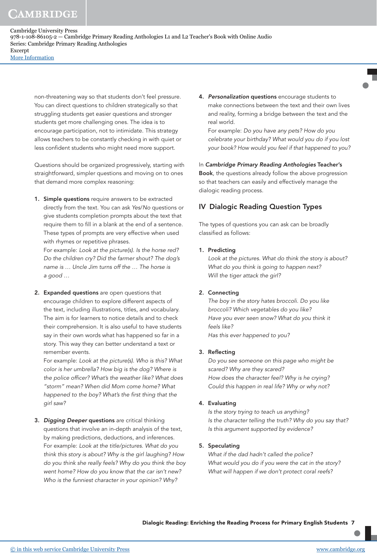non-threatening way so that students don't feel pressure. You can direct questions to children strategically so that struggling students get easier questions and stronger students get more challenging ones. The idea is to encourage participation, not to intimidate. This strategy allows teachers to be constantly checking in with quiet or less confident students who might need more support.

Questions should be organized progressively, starting with straightforward, simpler questions and moving on to ones that demand more complex reasoning:

1. Simple questions require answers to be extracted directly from the text. You can ask Yes/No questions or give students completion prompts about the text that require them to fill in a blank at the end of a sentence. These types of prompts are very effective when used with rhymes or repetitive phrases.

For example: Look at the picture(s). Is the horse red? Do the children cry? Did the farmer shout? The dog's name is … Uncle Jim turns off the … The horse is a good …

2. Expanded questions are open questions that encourage children to explore different aspects of the text, including illustrations, titles, and vocabulary. The aim is for learners to notice details and to check their comprehension. It is also useful to have students say in their own words what has happened so far in a story. This way they can better understand a text or remember events.

For example: Look at the picture(s). Who is this? What color is her umbrella? How big is the dog? Where is the police officer? What's the weather like? What does "storm" mean? When did Mom come home? What happened to the boy? What's the first thing that the girl saw?

3. Digging Deeper questions are critical thinking questions that involve an in-depth analysis of the text, by making predictions, deductions, and inferences. For example: Look at the title/pictures. What do you think this story is about? Why is the girl laughing? How do you think she really feels? Why do you think the boy went home? How do you know that the car isn't new? Who is the funniest character in your opinion? Why?

4. Personalization questions encourage students to make connections between the text and their own lives and reality, forming a bridge between the text and the real world.

For example: Do you have any pets? How do you celebrate your birthday? What would you do if you lost your book? How would you feel if that happened to you?

In Cambridge Primary Reading Anthologies Teacher's Book, the questions already follow the above progression so that teachers can easily and effectively manage the dialogic reading process.

## IV Dialogic Reading Question Types

The types of questions you can ask can be broadly classified as follows:

#### 1. Predicting

Look at the pictures. What do think the story is about? What do you think is going to happen next? Will the tiger attack the girl?

#### 2. Connecting

The boy in the story hates broccoli. Do you like broccoli? Which vegetables do you like? Have you ever seen snow? What do you think it feels like? Has this ever happened to you?

#### 3. Reflecting

Do you see someone on this page who might be scared? Why are they scared? How does the character feel? Why is he crying? Could this happen in real life? Why or why not?

#### 4. Evaluating

Is the story trying to teach us anything? Is the character telling the truth? Why do you say that? Is this argument supported by evidence?

### 5. Speculating

What if the dad hadn't called the police? What would you do if you were the cat in the story? What will happen if we don't protect coral reefs?

Dialogic Reading: Enriching the Reading Process for Primary English Students 7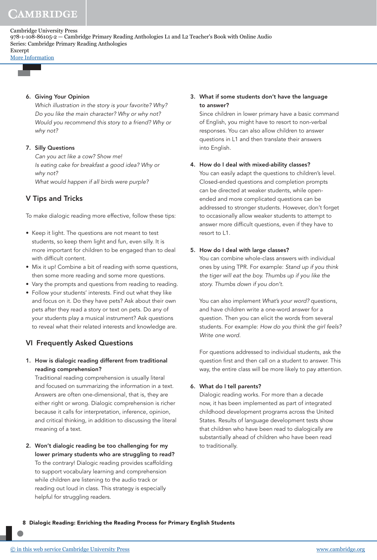[More Information](www.cambridge.org/9781108861052)

#### 6. Giving Your Opinion

Which illustration in the story is your favorite? Why? Do you like the main character? Why or why not? Would you recommend this story to a friend? Why or why not?

#### 7. Silly Questions

Can you act like a cow? Show me! Is eating cake for breakfast a good idea? Why or why not? What would happen if all birds were purple?

## V Tips and Tricks

To make dialogic reading more effective, follow these tips:

- Keep it light. The questions are not meant to test students, so keep them light and fun, even silly. It is more important for children to be engaged than to deal with difficult content.
- Mix it up! Combine a bit of reading with some questions, then some more reading and some more questions.
- Vary the prompts and questions from reading to reading.
- Follow your students' interests. Find out what they like and focus on it. Do they have pets? Ask about their own pets after they read a story or text on pets. Do any of your students play a musical instrument? Ask questions to reveal what their related interests and knowledge are.

## VI Frequently Asked Questions

1. How is dialogic reading different from traditional reading comprehension?

Traditional reading comprehension is usually literal and focused on summarizing the information in a text. Answers are often one-dimensional, that is, they are either right or wrong. Dialogic comprehension is richer because it calls for interpretation, inference, opinion, and critical thinking, in addition to discussing the literal meaning of a text.

2. Won't dialogic reading be too challenging for my lower primary students who are struggling to read? To the contrary! Dialogic reading provides scaffolding to support vocabulary learning and comprehension while children are listening to the audio track or reading out loud in class. This strategy is especially helpful for struggling readers.

### 3. What if some students don't have the language to answer?

Since children in lower primary have a basic command of English, you might have to resort to non-verbal responses. You can also allow children to answer questions in L1 and then translate their answers into English.

#### 4. How do I deal with mixed-ability classes?

You can easily adapt the questions to children's level. Closed-ended questions and completion prompts can be directed at weaker students, while openended and more complicated questions can be addressed to stronger students. However, don't forget to occasionally allow weaker students to attempt to answer more difficult questions, even if they have to resort to L1.

#### 5. How do I deal with large classes?

You can combine whole-class answers with individual ones by using TPR. For example: Stand up if you think the tiger will eat the boy. Thumbs up if you like the story. Thumbs down if you don't.

You can also implement What's your word? questions, and have children write a one-word answer for a question. Then you can elicit the words from several students. For example: How do you think the girl feels? Write one word.

 For questions addressed to individual students, ask the question first and then call on a student to answer. This way, the entire class will be more likely to pay attention.

#### 6. What do I tell parents?

Dialogic reading works. For more than a decade now, it has been implemented as part of integrated childhood development programs across the United States. Results of language development tests show that children who have been read to dialogically are substantially ahead of children who have been read to traditionally.

8 Dialogic Reading: Enriching the Reading Process for Primary English Students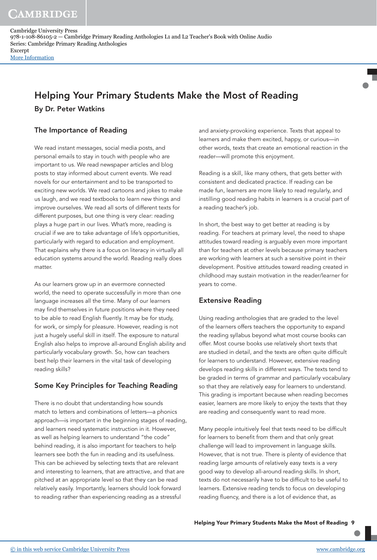CAMBRIDGE

# Helping Your Primary Students Make the Most of Reading

By Dr. Peter Watkins

## The Importance of Reading

We read instant messages, social media posts, and personal emails to stay in touch with people who are important to us. We read newspaper articles and blog posts to stay informed about current events. We read novels for our entertainment and to be transported to exciting new worlds. We read cartoons and jokes to make us laugh, and we read textbooks to learn new things and improve ourselves. We read all sorts of different texts for different purposes, but one thing is very clear: reading plays a huge part in our lives. What's more, reading is crucial if we are to take advantage of life's opportunities, particularly with regard to education and employment. That explains why there is a focus on literacy in virtually all education systems around the world. Reading really does matter.

As our learners grow up in an evermore connected world, the need to operate successfully in more than one language increases all the time. Many of our learners may find themselves in future positions where they need to be able to read English fluently. It may be for study, for work, or simply for pleasure. However, reading is not just a hugely useful skill in itself. The exposure to natural English also helps to improve all-around English ability and particularly vocabulary growth. So, how can teachers best help their learners in the vital task of developing reading skills?

## Some Key Principles for Teaching Reading

There is no doubt that understanding how sounds match to letters and combinations of letters—a phonics approach—is important in the beginning stages of reading, and learners need systematic instruction in it. However, as well as helping learners to understand "the code" behind reading, it is also important for teachers to help learners see both the fun in reading and its usefulness. This can be achieved by selecting texts that are relevant and interesting to learners, that are attractive, and that are pitched at an appropriate level so that they can be read relatively easily. Importantly, learners should look forward to reading rather than experiencing reading as a stressful

and anxiety-provoking experience. Texts that appeal to learners and make them excited, happy, or curious—in other words, texts that create an emotional reaction in the reader—will promote this enjoyment.

Reading is a skill, like many others, that gets better with consistent and dedicated practice. If reading can be made fun, learners are more likely to read regularly, and instilling good reading habits in learners is a crucial part of a reading teacher's job.

In short, the best way to get better at reading is by reading. For teachers at primary level, the need to shape attitudes toward reading is arguably even more important than for teachers at other levels because primary teachers are working with learners at such a sensitive point in their development. Positive attitudes toward reading created in childhood may sustain motivation in the reader/learner for years to come.

## Extensive Reading

Using reading anthologies that are graded to the level of the learners offers teachers the opportunity to expand the reading syllabus beyond what most course books can offer. Most course books use relatively short texts that are studied in detail, and the texts are often quite difficult for learners to understand. However, extensive reading develops reading skills in different ways. The texts tend to be graded in terms of grammar and particularly vocabulary so that they are relatively easy for learners to understand. This grading is important because when reading becomes easier, learners are more likely to enjoy the texts that they are reading and consequently want to read more.

Many people intuitively feel that texts need to be difficult for learners to benefit from them and that only great challenge will lead to improvement in language skills. However, that is not true. There is plenty of evidence that reading large amounts of relatively easy texts is a very good way to develop all-around reading skills. In short, texts do not necessarily have to be difficult to be useful to learners. Extensive reading tends to focus on developing reading fluency, and there is a lot of evidence that, as

Helping Your Primary Students Make the Most of Reading 9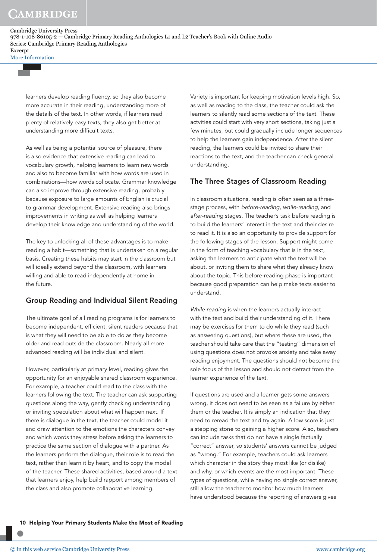[More Information](www.cambridge.org/9781108861052)

learners develop reading fluency, so they also become more accurate in their reading, understanding more of the details of the text. In other words, if learners read plenty of relatively easy texts, they also get better at understanding more difficult texts.

As well as being a potential source of pleasure, there is also evidence that extensive reading can lead to vocabulary growth, helping learners to learn new words and also to become familiar with how words are used in combinations—how words collocate. Grammar knowledge can also improve through extensive reading, probably because exposure to large amounts of English is crucial to grammar development. Extensive reading also brings improvements in writing as well as helping learners develop their knowledge and understanding of the world.

The key to unlocking all of these advantages is to make reading a habit—something that is undertaken on a regular basis. Creating these habits may start in the classroom but will ideally extend beyond the classroom, with learners willing and able to read independently at home in the future.

## Group Reading and Individual Silent Reading

The ultimate goal of all reading programs is for learners to become independent, efficient, silent readers because that is what they will need to be able to do as they become older and read outside the classroom. Nearly all more advanced reading will be individual and silent.

However, particularly at primary level, reading gives the opportunity for an enjoyable shared classroom experience. For example, a teacher could read to the class with the learners following the text. The teacher can ask supporting questions along the way, gently checking understanding or inviting speculation about what will happen next. If there is dialogue in the text, the teacher could model it and draw attention to the emotions the characters convey and which words they stress before asking the learners to practice the same section of dialogue with a partner. As the learners perform the dialogue, their role is to read the text, rather than learn it by heart, and to copy the model of the teacher. These shared activities, based around a text that learners enjoy, help build rapport among members of the class and also promote collaborative learning.

Variety is important for keeping motivation levels high. So, as well as reading to the class, the teacher could ask the learners to silently read some sections of the text. These actvities could start with very short sections, taking just a few minutes, but could gradually include longer sequences to help the learners gain independence. After the silent reading, the learners could be invited to share their reactions to the text, and the teacher can check general understanding.

## The Three Stages of Classroom Reading

In classroom situations, reading is often seen as a threestage process, with before-reading, while-reading, and after-reading stages. The teacher's task before reading is to build the learners' interest in the text and their desire to read it. It is also an opportunity to provide support for the following stages of the lesson. Support might come in the form of teaching vocabulary that is in the text, asking the learners to anticipate what the text will be about, or inviting them to share what they already know about the topic. This before-reading phase is important because good preparation can help make texts easier to understand.

While reading is when the learners actually interact with the text and build their understanding of it. There may be exercises for them to do while they read (such as answering questions), but where these are used, the teacher should take care that the "testing" dimension of using questions does not provoke anxiety and take away reading enjoyment. The questions should not become the sole focus of the lesson and should not detract from the learner experience of the text.

If questions are used and a learner gets some answers wrong, it does not need to be seen as a failure by either them or the teacher. It is simply an indication that they need to reread the text and try again. A low score is just a stepping stone to gaining a higher score. Also, teachers can include tasks that do not have a single factually "correct" answer, so students' answers cannot be judged as "wrong." For example, teachers could ask learners which character in the story they most like (or dislike) and why, or which events are the most important. These types of questions, while having no single correct answer, still allow the teacher to monitor how much learners have understood because the reporting of answers gives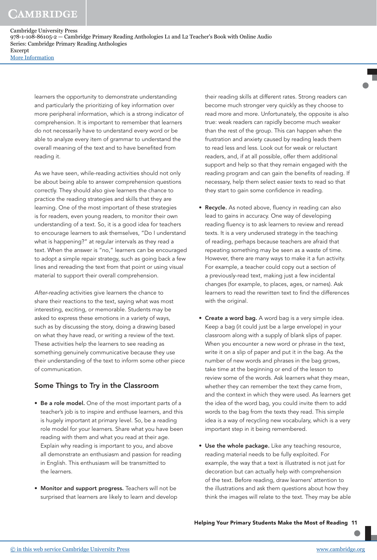learners the opportunity to demonstrate understanding and particularly the prioritizing of key information over more peripheral information, which is a strong indicator of comprehension. It is important to remember that learners do not necessarily have to understand every word or be able to analyze every item of grammar to understand the overall meaning of the text and to have benefited from reading it.

As we have seen, while-reading activities should not only be about being able to answer comprehension questions correctly. They should also give learners the chance to practice the reading strategies and skills that they are learning. One of the most important of these strategies is for readers, even young readers, to monitor their own understanding of a text. So, it is a good idea for teachers to encourage learners to ask themselves, "Do I understand what is happening?" at regular intervals as they read a text. When the answer is "no," learners can be encouraged to adopt a simple repair strategy, such as going back a few lines and rereading the text from that point or using visual material to support their overall comprehension.

After-reading activities give learners the chance to share their reactions to the text, saying what was most interesting, exciting, or memorable. Students may be asked to express these emotions in a variety of ways, such as by discussing the story, doing a drawing based on what they have read, or writing a review of the text. These activities help the learners to see reading as something genuinely communicative because they use their understanding of the text to inform some other piece of communication.

## Some Things to Try in the Classroom

- Be a role model. One of the most important parts of a teacher's job is to inspire and enthuse learners, and this is hugely important at primary level. So, be a reading role model for your learners. Share what you have been reading with them and what you read at their age. Explain why reading is important to you, and above all demonstrate an enthusiasm and passion for reading in English. This enthusiasm will be transmitted to the learners.
- Monitor and support progress. Teachers will not be surprised that learners are likely to learn and develop

their reading skills at different rates. Strong readers can become much stronger very quickly as they choose to read more and more. Unfortunately, the opposite is also true: weak readers can rapidly become much weaker than the rest of the group. This can happen when the frustration and anxiety caused by reading leads them to read less and less. Look out for weak or reluctant readers, and, if at all possible, offer them additional support and help so that they remain engaged with the reading program and can gain the benefits of reading. If necessary, help them select easier texts to read so that they start to gain some confidence in reading.

- Recycle. As noted above, fluency in reading can also lead to gains in accuracy. One way of developing reading fluency is to ask learners to review and reread texts. It is a very underused strategy in the teaching of reading, perhaps because teachers are afraid that repeating something may be seen as a waste of time. However, there are many ways to make it a fun activity. For example, a teacher could copy out a section of a previously-read text, making just a few incidental changes (for example, to places, ages, or names). Ask learners to read the rewritten text to find the differences with the original.
- Create a word bag. A word bag is a very simple idea. Keep a bag (it could just be a large envelope) in your classroom along with a supply of blank slips of paper. When you encounter a new word or phrase in the text, write it on a slip of paper and put it in the bag. As the number of new words and phrases in the bag grows, take time at the beginning or end of the lesson to review some of the words. Ask learners what they mean, whether they can remember the text they came from, and the context in which they were used. As learners get the idea of the word bag, you could invite them to add words to the bag from the texts they read. This simple idea is a way of recycling new vocabulary, which is a very important step in it being remembered.
- Use the whole package. Like any teaching resource, reading material needs to be fully exploited. For example, the way that a text is illustrated is not just for decoration but can actually help with comprehension of the text. Before reading, draw learners' attention to the illustrations and ask them questions about how they think the images will relate to the text. They may be able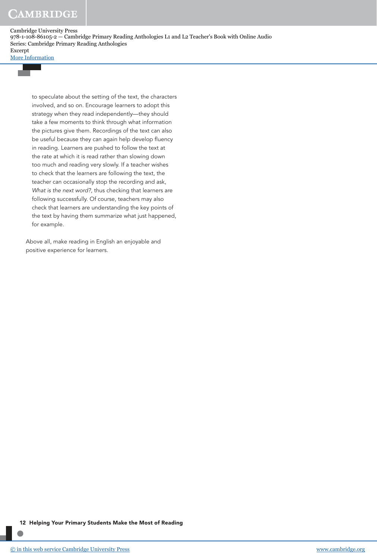[More Information](www.cambridge.org/9781108861052)

to speculate about the setting of the text, the characters involved, and so on. Encourage learners to adopt this strategy when they read independently—they should take a few moments to think through what information the pictures give them. Recordings of the text can also be useful because they can again help develop fluency in reading. Learners are pushed to follow the text at the rate at which it is read rather than slowing down too much and reading very slowly. If a teacher wishes to check that the learners are following the text, the teacher can occasionally stop the recording and ask, What is the next word?, thus checking that learners are following successfully. Of course, teachers may also check that learners are understanding the key points of the text by having them summarize what just happened, for example.

Above all, make reading in English an enjoyable and positive experience for learners.

12 Helping Your Primary Students Make the Most of Reading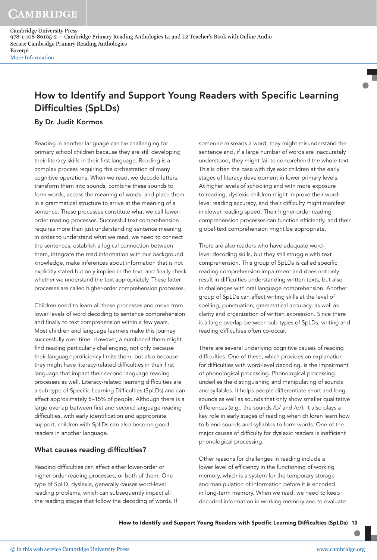CAMBRIDGE

Cambridge University Press 978-1-108-86105-2 — Cambridge Primary Reading Anthologies L1 and L2 Teacher's Book with Online Audio Series: Cambridge Primary Reading Anthologies Excerpt [More Information](www.cambridge.org/9781108861052)

## How to Identify and Support Young Readers with Specific Learning Difficulties (SpLDs)

## By Dr. Judit Kormos

Reading in another language can be challenging for primary school children because they are still developing their literacy skills in their first language. Reading is a complex process requiring the orchestration of many cognitive operations. When we read, we decode letters, transform them into sounds, combine these sounds to form words, access the meaning of words, and place them in a grammatical structure to arrive at the meaning of a sentence. These processes constitute what we call lowerorder reading processes. Successful text comprehension requires more than just understanding sentence meaning. In order to understand what we read, we need to connect the sentences, establish a logical connection between them, integrate the read information with our background knowledge, make inferences about information that is not explicitly stated but only implied in the text, and finally check whether we understand the text appropriately. These latter processes are called higher-order comprehension processes.

Children need to learn all these processes and move from lower levels of word decoding to sentence comprehension and finally to text comprehension within a few years. Most children and language learners make this journey successfully over time. However, a number of them might find reading particularly challenging, not only because their language proficiency limits them, but also because they might have literacy-related difficulties in their first language that impact their second language reading processes as well. Literacy-related learning difficulties are a sub-type of Specific Learning Difficulties (SpLDs) and can affect approximately 5–15% of people. Although there is a large overlap between first and second language reading difficulties, with early identification and appropriate support, children with SpLDs can also become good readers in another language.

## What causes reading difficulties?

Reading difficulties can affect either lower-order or higher-order reading processes, or both of them. One type of SpLD, dyslexia, generally causes word-level reading problems, which can subsequently impact all the reading stages that follow the decoding of words. If

someone misreads a word, they might misunderstand the sentence and, if a large number of words are inaccurately understood, they might fail to comprehend the whole text. This is often the case with dyslexic children at the early stages of literacy development in lower primary levels. At higher levels of schooling and with more exposure to reading, dyslexic children might improve their wordlevel reading accuracy, and their difficulty might manifest in slower reading speed. Their higher-order reading comprehension processes can function efficiently, and their global text comprehension might be appropriate.

There are also readers who have adequate wordlevel decoding skills, but they still struggle with text comprehension. This group of SpLDs is called specific reading comprehension impairment and does not only result in difficulties understanding written texts, but also in challenges with oral language comprehension. Another group of SpLDs can affect writing skills at the level of spelling, punctuation, grammatical accuracy, as well as clarity and organization of written expression. Since there is a large overlap between sub-types of SpLDs, writing and reading difficulties often co-occur.

There are several underlying cognitive causes of reading difficulties. One of these, which provides an explanation for difficulties with word-level decoding, is the impairment of phonological processing. Phonological processing underlies the distinguishing and manipulating of sounds and syllables. It helps people differentiate short and long sounds as well as sounds that only show smaller qualitative differences (e.g., the sounds /b/ and /d/). It also plays a key role in early stages of reading when children learn how to blend sounds and syllables to form words. One of the major causes of difficulty for dyslexic readers is inefficient phonological processing.

Other reasons for challenges in reading include a lower level of efficiency in the functioning of working memory, which is a system for the temporary storage and manipulation of information before it is encoded in long-term memory. When we read, we need to keep decoded information in working memory and to evaluate

How to Identify and Support Young Readers with Specific Learning Difficulties (SpLDs) 13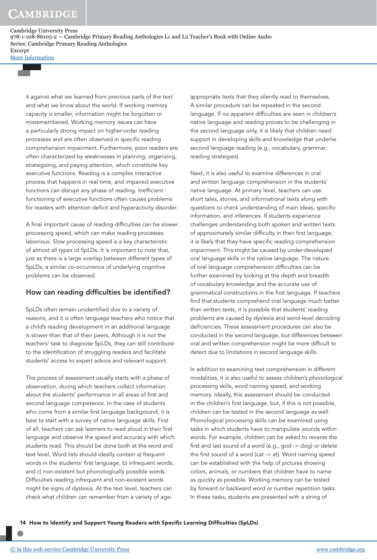[More Information](www.cambridge.org/9781108861052)

it against what we learned from previous parts of the text and what we know about the world. If working memory capacity is smaller, information might be forgotten or misremembered. Working memory issues can have a particularly strong impact on higher-order reading processes and are often observed in specific reading comprehension impairment. Furthermore, poor readers are often characterized by weaknesses in planning, organizing, strategizing, and paying attention, which constitute key executive functions. Reading is a complex interactive process that happens in real time, and impaired executive functions can disrupt any phase of reading. Inefficient functioning of executive functions often causes problems for readers with attention deficit and hyperactivity disorder.

A final important cause of reading difficulties can be slower processing speed, which can make reading processes laborious. Slow processing speed is a key characteristic of almost all types of SpLDs. It is important to note that, just as there is a large overlap between different types of SpLDs, a similar co-occurrence of underlying cognitive problems can be observed.

## How can reading difficulties be identified?

SpLDs often remain unidentified due to a variety of reasons, and it is often language teachers who notice that a child's reading development in an additional language is slower than that of their peers. Although it is not the teachers' task to diagnose SpLDs, they can still contribute to the identification of struggling readers and facilitate students' access to expert advice and relevant support.

The process of assessment usually starts with a phase of observation, during which teachers collect information about the students' performance in all areas of first and second language competence. In the case of students who come from a similar first language background, it is best to start with a survey of native language skills. First of all, teachers can ask learners to read aloud in their first language and observe the speed and accuracy with which students read. This should be done both at the word and text level. Word lists should ideally contain a) frequent words in the students' first language, b) infrequent words, and c) non-existent but phonologically possible words. Difficulties reading infrequent and non-existent words might be signs of dyslexia. At the text level, teachers can check what children can remember from a variety of ageappropriate texts that they silently read to themselves. A similar procedure can be repeated in the second language. If no apparent difficulties are seen in children's native language and reading proves to be challenging in the second language only, it is likely that children need support in developing skills and knowledge that underlie second language reading (e.g., vocabulary, grammar, reading strategies).

Next, it is also useful to examine differences in oral and written language comprehension in the students' native language. At primary level, teachers can use short tales, stories, and informational texts along with questions to check understanding of main ideas, specific information, and inferences. If students experience challenges understanding both spoken and written texts of approximately similar difficulty in their first language, it is likely that they have specific reading comprehension impairment. This might be caused by under-developed oral language skills in the native language. The nature of oral language comprehension difficulties can be further examined by looking at the depth and breadth of vocabulary knowledge and the accurate use of grammatical constructions in the first language. If teachers find that students comprehend oral language much better than written texts, it is possible that students' reading problems are caused by dyslexia and word-level decoding deficiencies. These assessment procedures can also be conducted in the second language, but differences between oral and written comprehension might be more difficult to detect due to limitations in second language skills.

In addition to examining text comprehension in different modalities, it is also useful to assess children's phonological processing skills, word naming speed, and working memory. Ideally, this assessment should be conducted in the children's first language, but, if this is not possible, children can be tested in the second language as well. Phonological processing skills can be examined using tasks in which students have to manipulate sounds within words. For example, children can be asked to reverse the first and last sound of a word (e.g., god -> dog) or delete the first sound of a word (cat -> at). Word naming speed can be established with the help of pictures showing colors, animals, or numbers that children have to name as quickly as possible. Working memory can be tested by forward or backward word or number repetition tasks. In these tasks, students are presented with a string of

14 How to Identify and Support Young Readers with Specific Learning Difficulties (SpLDs)